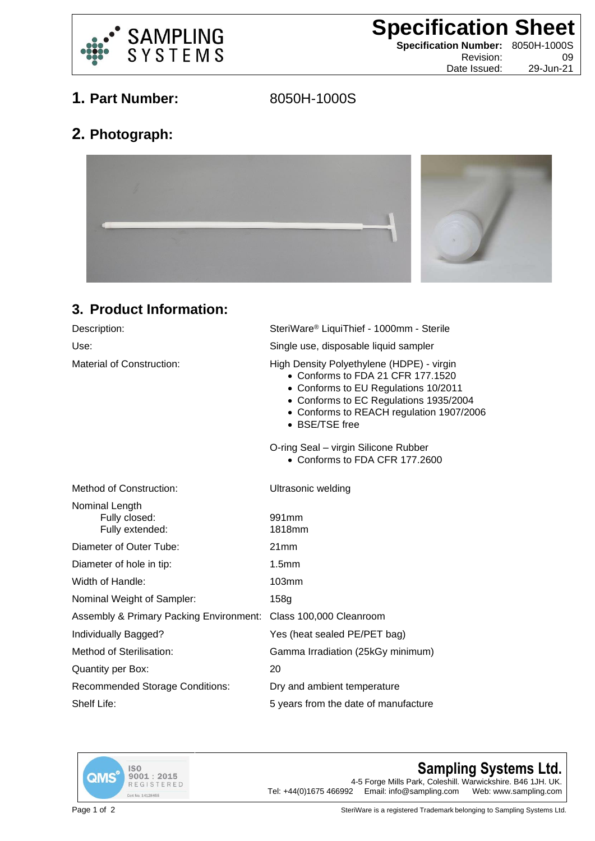

**Specification Sheet**

**Specification Number:** 8050H-1000S Revision: 09

Date Issued: 29-Jun-21

## **1. Part Number:** 8050H-1000S

## **2. Photograph:**



## **3. Product Information:**

| Description:                                                    | SteriWare® LiquiThief - 1000mm - Sterile                                                                                                                                                                                       |
|-----------------------------------------------------------------|--------------------------------------------------------------------------------------------------------------------------------------------------------------------------------------------------------------------------------|
| Use:                                                            | Single use, disposable liquid sampler                                                                                                                                                                                          |
| Material of Construction:                                       | High Density Polyethylene (HDPE) - virgin<br>• Conforms to FDA 21 CFR 177,1520<br>• Conforms to EU Regulations 10/2011<br>• Conforms to EC Regulations 1935/2004<br>• Conforms to REACH regulation 1907/2006<br>• BSE/TSE free |
|                                                                 | O-ring Seal - virgin Silicone Rubber<br>• Conforms to FDA CFR 177.2600                                                                                                                                                         |
| Method of Construction:                                         | <b>Ultrasonic welding</b>                                                                                                                                                                                                      |
| Nominal Length<br>Fully closed:<br>Fully extended:              | 991mm<br>1818mm                                                                                                                                                                                                                |
| Diameter of Outer Tube:                                         | 21mm                                                                                                                                                                                                                           |
| Diameter of hole in tip:                                        | 1.5 <sub>mm</sub>                                                                                                                                                                                                              |
| Width of Handle:                                                | 103mm                                                                                                                                                                                                                          |
| Nominal Weight of Sampler:                                      | 158g                                                                                                                                                                                                                           |
| Assembly & Primary Packing Environment: Class 100,000 Cleanroom |                                                                                                                                                                                                                                |
| Individually Bagged?                                            | Yes (heat sealed PE/PET bag)                                                                                                                                                                                                   |
| Method of Sterilisation:                                        | Gamma Irradiation (25kGy minimum)                                                                                                                                                                                              |
| <b>Quantity per Box:</b>                                        | 20                                                                                                                                                                                                                             |
| <b>Recommended Storage Conditions:</b>                          | Dry and ambient temperature                                                                                                                                                                                                    |
| Shelf Life:                                                     | 5 years from the date of manufacture                                                                                                                                                                                           |
|                                                                 |                                                                                                                                                                                                                                |



## **Sampling Systems Ltd.**

4-5 Forge Mills Park, Coleshill. Warwickshire. B46 1JH. UK.<br>2 Email: info@sampling.com Web: www.sampling.com Tel:  $+44(0)1675466992$  Email: info@sampling.com